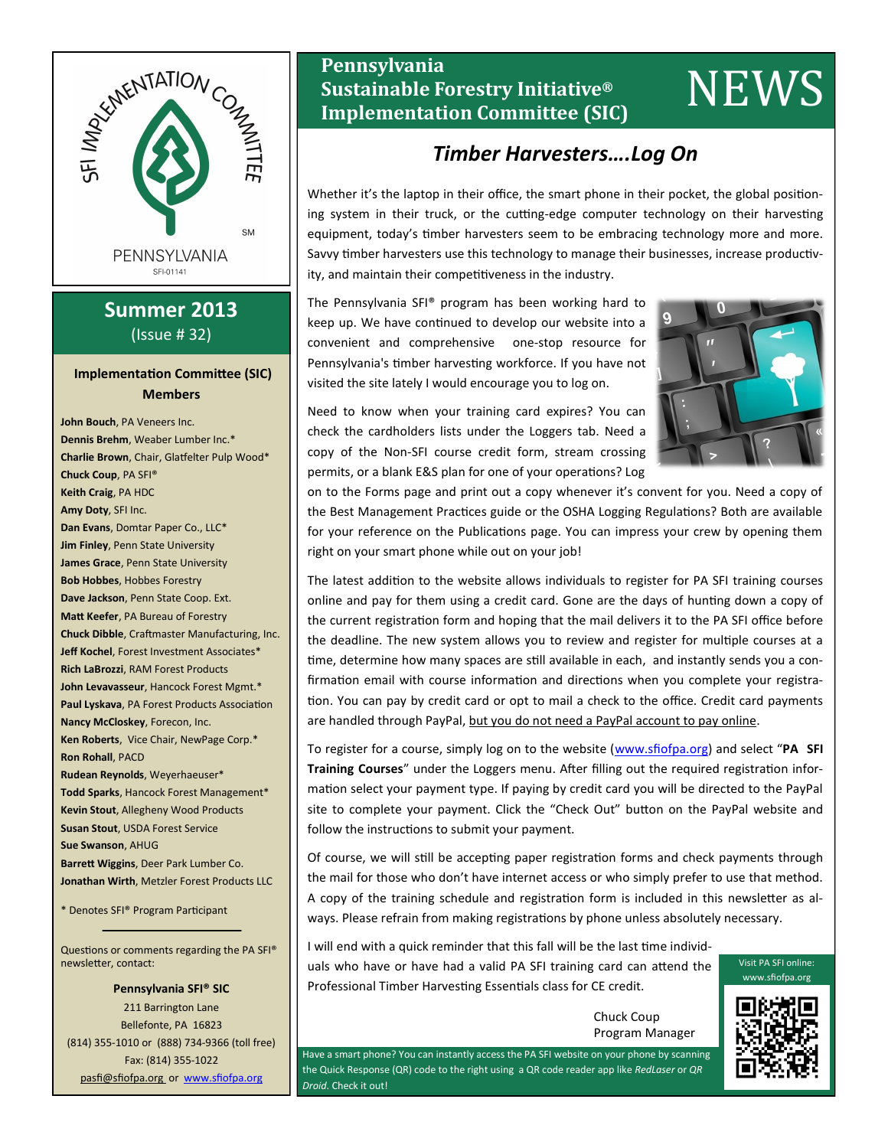

# **Summer 2013** (Issue # 32)

### **Implementation Committee (SIC) Members**

**John Bouch**, PA Veneers Inc. **Dennis Brehm**, Weaber Lumber Inc.\* **Charlie Brown**, Chair, Glatfelter Pulp Wood\* **Chuck Coup**, PA SFI® **Keith Craig**, PA HDC **Amy Doty**, SFI Inc. **Dan Evans**, Domtar Paper Co., LLC\* **Jim Finley**, Penn State University **James Grace**, Penn State University **Bob Hobbes**, Hobbes Forestry **Dave Jackson**, Penn State Coop. Ext. **Matt Keefer**, PA Bureau of Forestry **Chuck Dibble**, Craftmaster Manufacturing, Inc. **Jeff Kochel**, Forest Investment Associates\* **Rich LaBrozzi**, RAM Forest Products **John Levavasseur**, Hancock Forest Mgmt.\* **Paul Lyskava**, PA Forest Products Association **Nancy McCloskey**, Forecon, Inc. **Ken Roberts**, Vice Chair, NewPage Corp.\* **Ron Rohall**, PACD **Rudean Reynolds**, Weyerhaeuser\* **Todd Sparks**, Hancock Forest Management\* **Kevin Stout**, Allegheny Wood Products **Susan Stout**, USDA Forest Service **Sue Swanson**, AHUG **Barrett Wiggins**, Deer Park Lumber Co. **Jonathan Wirth**, Metzler Forest Products LLC

\* Denotes SFI® Program Participant

Questions or comments regarding the PA SFI® newsletter, contact:

**Pennsylvania SFI® SIC** 211 Barrington Lane Bellefonte, PA 16823 (814) 355-1010 or (888) 734-9366 (toll free) Fax: (814) 355-1022 pasfi@sfiofpa.org or [www.sfiofpa.org](http://www.sfiofpa.org)

# **Pennsylvania Sustainable Forestry Initiative® Implementation Committee (SIC)** NEWS

# *Timber Harvesters….Log On*

Whether it's the laptop in their office, the smart phone in their pocket, the global positioning system in their truck, or the cutting-edge computer technology on their harvesting equipment, today's timber harvesters seem to be embracing technology more and more. Savvy timber harvesters use this technology to manage their businesses, increase productivity, and maintain their competitiveness in the industry.

The Pennsylvania SFI® program has been working hard to keep up. We have continued to develop our website into a convenient and comprehensive one-stop resource for Pennsylvania's timber harvesting workforce. If you have not visited the site lately I would encourage you to log on.

Need to know when your training card expires? You can check the cardholders lists under the Loggers tab. Need a copy of the Non-SFI course credit form, stream crossing permits, or a blank E&S plan for one of your operations? Log



on to the Forms page and print out a copy whenever it's convent for you. Need a copy of the Best Management Practices guide or the OSHA Logging Regulations? Both are available for your reference on the Publications page. You can impress your crew by opening them right on your smart phone while out on your job!

The latest addition to the website allows individuals to register for PA SFI training courses online and pay for them using a credit card. Gone are the days of hunting down a copy of the current registration form and hoping that the mail delivers it to the PA SFI office before the deadline. The new system allows you to review and register for multiple courses at a time, determine how many spaces are still available in each, and instantly sends you a confirmation email with course information and directions when you complete your registration. You can pay by credit card or opt to mail a check to the office. Credit card payments are handled through PayPal, but you do not need a PayPal account to pay online.

To register for a course, simply log on to the website ([www.sfiofpa.org\)](http://www.sfiofpa.org/) and select "**PA SFI Training Courses**" under the Loggers menu. After filling out the required registration information select your payment type. If paying by credit card you will be directed to the PayPal site to complete your payment. Click the "Check Out" button on the PayPal website and follow the instructions to submit your payment.

Of course, we will still be accepting paper registration forms and check payments through the mail for those who don't have internet access or who simply prefer to use that method. A copy of the training schedule and registration form is included in this newsletter as always. Please refrain from making registrations by phone unless absolutely necessary.

I will end with a quick reminder that this fall will be the last time individuals who have or have had a valid PA SFI training card can attend the Professional Timber Harvesting Essentials class for CE credit.

> Chuck Coup Program Manager

Have a smart phone? You can instantly access the PA SFI website on your phone by scanning the Quick Response (QR) code to the right using a QR code reader app like *RedLaser* or *QR Droid*. Check it out!



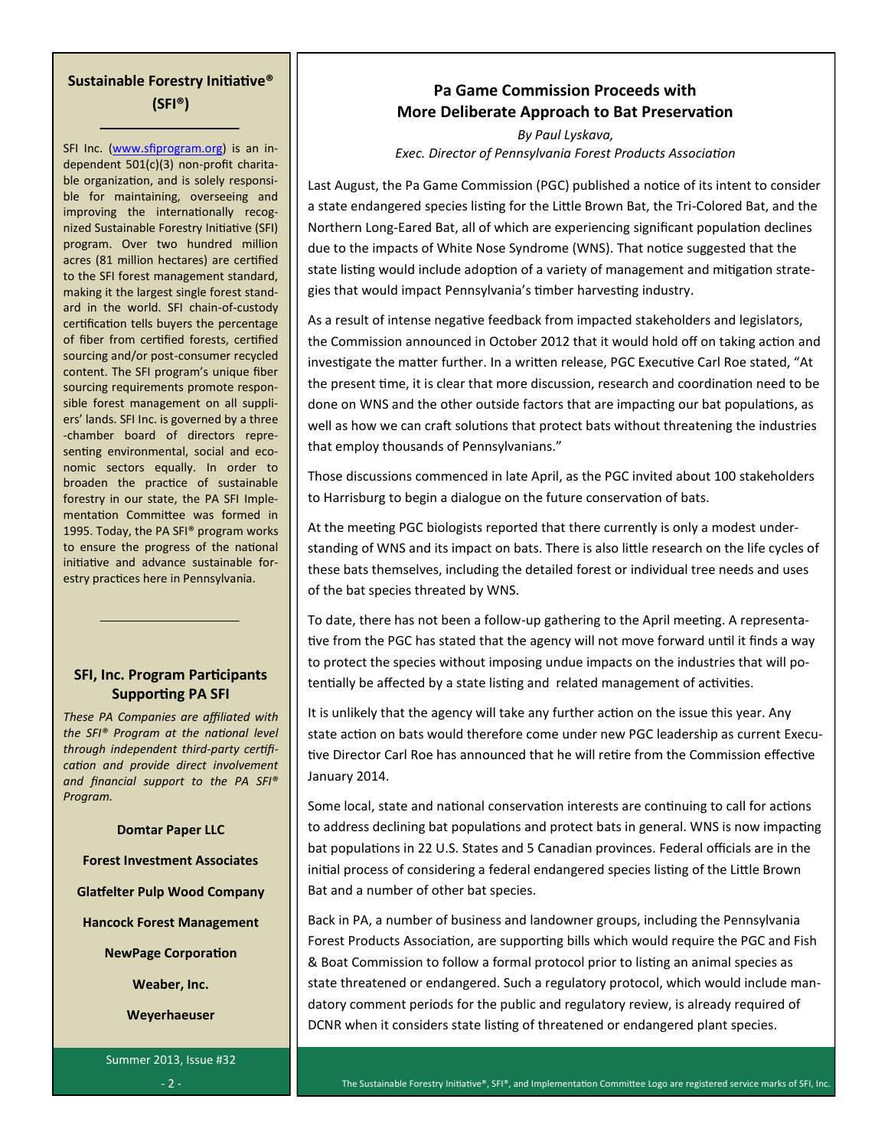## **Sustainable Forestry Initiative® (SFI®)**

SFI Inc. ([www.sfiprogram.org\)](http://www.sfiprogram.org/) is an independent 501(c)(3) non-profit charitable organization, and is solely responsible for maintaining, overseeing and improving the internationally recognized Sustainable Forestry Initiative (SFI) program. Over two hundred million acres (81 million hectares) are certified to the SFI forest management standard, making it the largest single forest standard in the world. SFI chain-of-custody certification tells buyers the percentage of fiber from certified forests, certified sourcing and/or post-consumer recycled content. The SFI program's unique fiber sourcing requirements promote responsible forest management on all suppliers' lands. SFI Inc. is governed by a three -chamber board of directors representing environmental, social and economic sectors equally. In order to broaden the practice of sustainable forestry in our state, the PA SFI Implementation Committee was formed in 1995. Today, the PA SFI® program works to ensure the progress of the national initiative and advance sustainable forestry practices here in Pennsylvania.

## **SFI, Inc. Program Participants Supporting PA SFI**

*These PA Companies are affiliated with the SFI® Program at the national level through independent third-party certification and provide direct involvement and financial support to the PA SFI® Program.*

#### **Domtar Paper LLC**

**Forest Investment Associates**

**Glatfelter Pulp Wood Company**

**Hancock Forest Management**

**NewPage Corporation**

**Weaber, Inc.**

**Weyerhaeuser**

Summer 2013, Issue #32 - 2 -

## **Pa Game Commission Proceeds with More Deliberate Approach to Bat Preservation**

*By Paul Lyskava, Exec. Director of Pennsylvania Forest Products Association*

Last August, the Pa Game Commission (PGC) published a notice of its intent to consider a state endangered species listing for the Little Brown Bat, the Tri-Colored Bat, and the Northern Long-Eared Bat, all of which are experiencing significant population declines due to the impacts of White Nose Syndrome (WNS). That notice suggested that the state listing would include adoption of a variety of management and mitigation strategies that would impact Pennsylvania's timber harvesting industry.

As a result of intense negative feedback from impacted stakeholders and legislators, the Commission announced in October 2012 that it would hold off on taking action and investigate the matter further. In a written release, PGC Executive Carl Roe stated, "At the present time, it is clear that more discussion, research and coordination need to be done on WNS and the other outside factors that are impacting our bat populations, as well as how we can craft solutions that protect bats without threatening the industries that employ thousands of Pennsylvanians."

Those discussions commenced in late April, as the PGC invited about 100 stakeholders to Harrisburg to begin a dialogue on the future conservation of bats.

At the meeting PGC biologists reported that there currently is only a modest understanding of WNS and its impact on bats. There is also little research on the life cycles of these bats themselves, including the detailed forest or individual tree needs and uses of the bat species threated by WNS.

To date, there has not been a follow-up gathering to the April meeting. A representative from the PGC has stated that the agency will not move forward until it finds a way to protect the species without imposing undue impacts on the industries that will potentially be affected by a state listing and related management of activities.

It is unlikely that the agency will take any further action on the issue this year. Any state action on bats would therefore come under new PGC leadership as current Executive Director Carl Roe has announced that he will retire from the Commission effective January 2014.

Some local, state and national conservation interests are continuing to call for actions to address declining bat populations and protect bats in general. WNS is now impacting bat populations in 22 U.S. States and 5 Canadian provinces. Federal officials are in the initial process of considering a federal endangered species listing of the Little Brown Bat and a number of other bat species.

Back in PA, a number of business and landowner groups, including the Pennsylvania Forest Products Association, are supporting bills which would require the PGC and Fish & Boat Commission to follow a formal protocol prior to listing an animal species as state threatened or endangered. Such a regulatory protocol, which would include mandatory comment periods for the public and regulatory review, is already required of DCNR when it considers state listing of threatened or endangered plant species.

The Sustainable Forestry Initiative®, SFI®, and Implementation Committee Logo are registered service marks of SFI, Inc.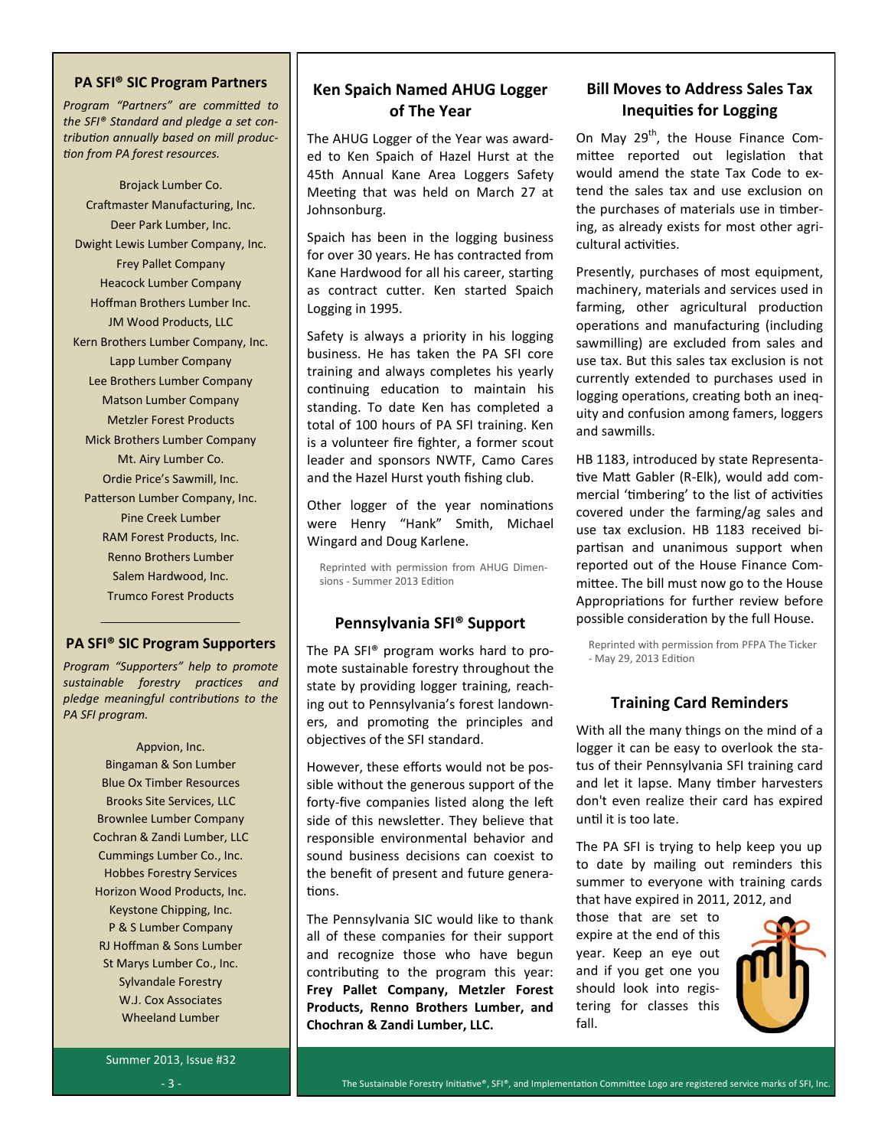#### **PA SFI® SIC Program Partners**

*Program "Partners" are committed to the SFI® Standard and pledge a set contribution annually based on mill production from PA forest resources.*

Brojack Lumber Co. Craftmaster Manufacturing, Inc. Deer Park Lumber, Inc. Dwight Lewis Lumber Company, Inc. Frey Pallet Company Heacock Lumber Company Hoffman Brothers Lumber Inc. JM Wood Products, LLC Kern Brothers Lumber Company, Inc. Lapp Lumber Company Lee Brothers Lumber Company Matson Lumber Company Metzler Forest Products Mick Brothers Lumber Company Mt. Airy Lumber Co. Ordie Price's Sawmill, Inc. Patterson Lumber Company, Inc. Pine Creek Lumber RAM Forest Products, Inc. Renno Brothers Lumber Salem Hardwood, Inc. Trumco Forest Products

### **PA SFI® SIC Program Supporters**

*Program "Supporters" help to promote sustainable forestry practices and pledge meaningful contributions to the PA SFI program.*

> Appvion, Inc. Bingaman & Son Lumber Blue Ox Timber Resources Brooks Site Services, LLC Brownlee Lumber Company Cochran & Zandi Lumber, LLC Cummings Lumber Co., Inc. Hobbes Forestry Services Horizon Wood Products, Inc. Keystone Chipping, Inc. P & S Lumber Company RJ Hoffman & Sons Lumber St Marys Lumber Co., Inc. Sylvandale Forestry W.J. Cox Associates Wheeland Lumber

## **Ken Spaich Named AHUG Logger of The Year**

The AHUG Logger of the Year was awarded to Ken Spaich of Hazel Hurst at the 45th Annual Kane Area Loggers Safety Meeting that was held on March 27 at Johnsonburg.

Spaich has been in the logging business for over 30 years. He has contracted from Kane Hardwood for all his career, starting as contract cutter. Ken started Spaich Logging in 1995.

Safety is always a priority in his logging business. He has taken the PA SFI core training and always completes his yearly continuing education to maintain his standing. To date Ken has completed a total of 100 hours of PA SFI training. Ken is a volunteer fire fighter, a former scout leader and sponsors NWTF, Camo Cares and the Hazel Hurst youth fishing club.

Other logger of the year nominations were Henry "Hank" Smith, Michael Wingard and Doug Karlene.

Reprinted with permission from AHUG Dimensions - Summer 2013 Edition

### **Pennsylvania SFI® Support**

The PA SFI® program works hard to promote sustainable forestry throughout the state by providing logger training, reaching out to Pennsylvania's forest landowners, and promoting the principles and objectives of the SFI standard.

However, these efforts would not be possible without the generous support of the forty-five companies listed along the left side of this newsletter. They believe that responsible environmental behavior and sound business decisions can coexist to the benefit of present and future generations.

The Pennsylvania SIC would like to thank all of these companies for their support and recognize those who have begun contributing to the program this year: **Frey Pallet Company, Metzler Forest Products, Renno Brothers Lumber, and Chochran & Zandi Lumber, LLC.**

## **Bill Moves to Address Sales Tax Inequities for Logging**

On May 29<sup>th</sup>, the House Finance Committee reported out legislation that would amend the state Tax Code to extend the sales tax and use exclusion on the purchases of materials use in timbering, as already exists for most other agricultural activities.

Presently, purchases of most equipment, machinery, materials and services used in farming, other agricultural production operations and manufacturing (including sawmilling) are excluded from sales and use tax. But this sales tax exclusion is not currently extended to purchases used in logging operations, creating both an inequity and confusion among famers, loggers and sawmills.

HB 1183, introduced by state Representative Matt Gabler (R-Elk), would add commercial 'timbering' to the list of activities covered under the farming/ag sales and use tax exclusion. HB 1183 received bipartisan and unanimous support when reported out of the House Finance Committee. The bill must now go to the House Appropriations for further review before possible consideration by the full House.

Reprinted with permission from PFPA The Ticker - May 29, 2013 Edition

## **Training Card Reminders**

With all the many things on the mind of a logger it can be easy to overlook the status of their Pennsylvania SFI training card and let it lapse. Many timber harvesters don't even realize their card has expired until it is too late.

The PA SFI is trying to help keep you up to date by mailing out reminders this summer to everyone with training cards that have expired in 2011, 2012, and

those that are set to expire at the end of this year. Keep an eye out and if you get one you should look into registering for classes this fall.

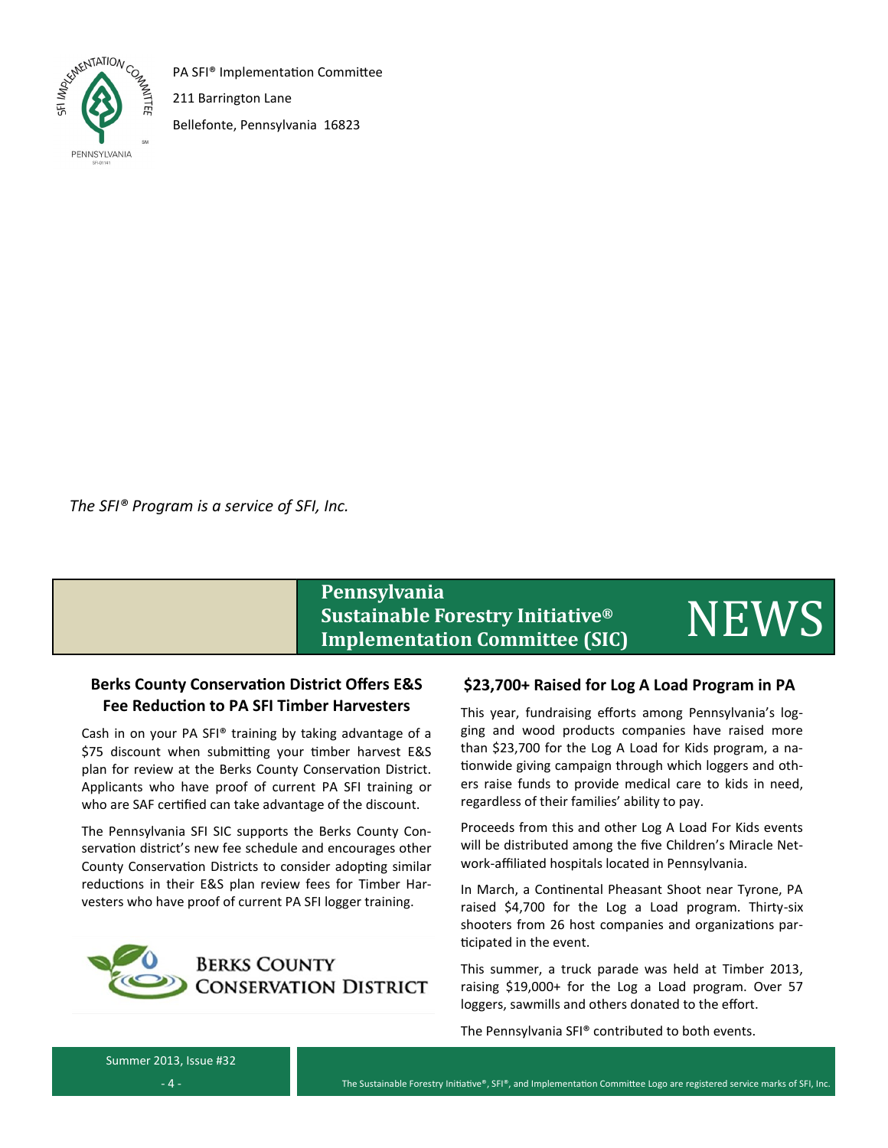

PA SFI® Implementation Committee

211 Barrington Lane

Bellefonte, Pennsylvania 16823

*The SFI® Program is a service of SFI, Inc.*

# **Pennsylvania Sustainable Forestry Initiative® Implementation Committee (SIC)** NEWS

## **Berks County Conservation District Offers E&S Fee Reduction to PA SFI Timber Harvesters**

Cash in on your PA SFI® training by taking advantage of a \$75 discount when submitting your timber harvest E&S plan for review at the Berks County Conservation District. Applicants who have proof of current PA SFI training or who are SAF certified can take advantage of the discount.

The Pennsylvania SFI SIC supports the Berks County Conservation district's new fee schedule and encourages other County Conservation Districts to consider adopting similar reductions in their E&S plan review fees for Timber Harvesters who have proof of current PA SFI logger training.



## **\$23,700+ Raised for Log A Load Program in PA**

This year, fundraising efforts among Pennsylvania's logging and wood products companies have raised more than \$23,700 for the Log A Load for Kids program, a nationwide giving campaign through which loggers and others raise funds to provide medical care to kids in need, regardless of their families' ability to pay.

Proceeds from this and other Log A Load For Kids events will be distributed among the five Children's Miracle Network-affiliated hospitals located in Pennsylvania.

In March, a Continental Pheasant Shoot near Tyrone, PA raised \$4,700 for the Log a Load program. Thirty-six shooters from 26 host companies and organizations participated in the event.

This summer, a truck parade was held at Timber 2013, raising \$19,000+ for the Log a Load program. Over 57 loggers, sawmills and others donated to the effort.

The Pennsylvania SFI® contributed to both events.

Summer 2013, Issue #32

- 4 -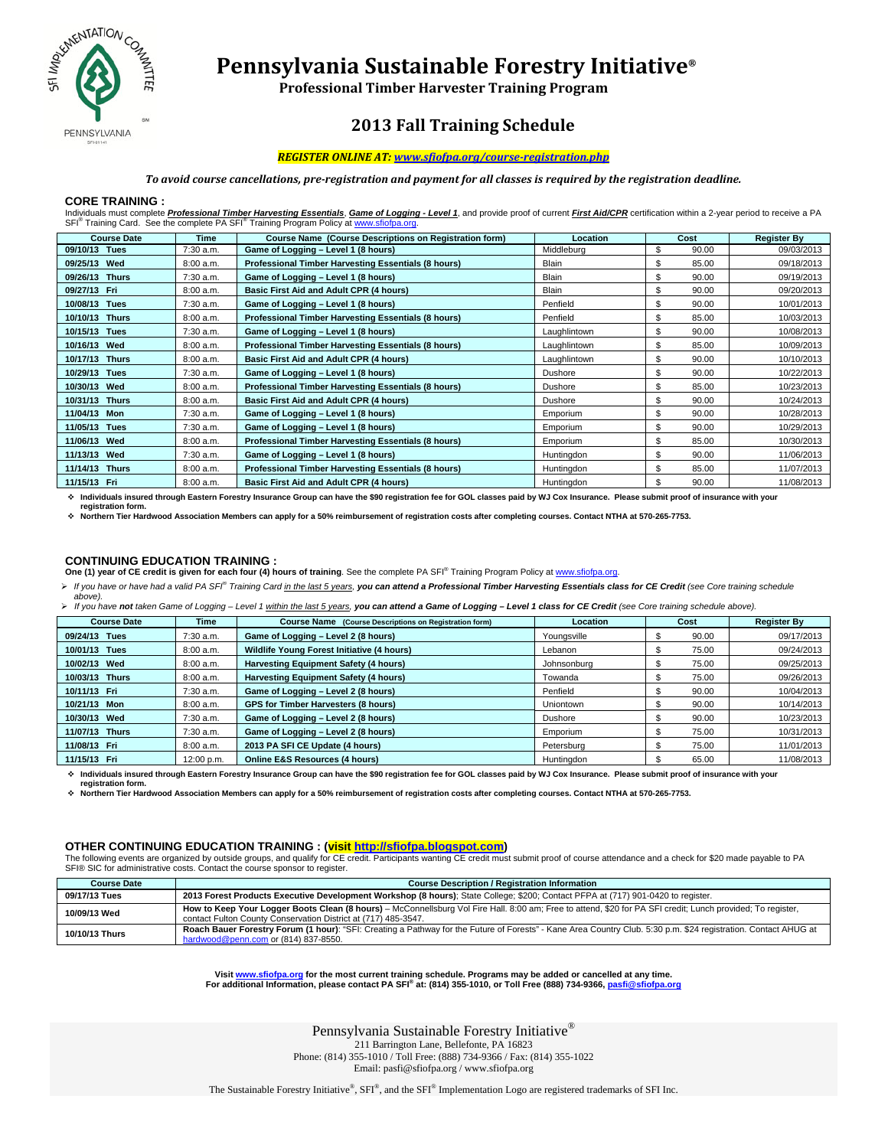

 **Pennsylvania Sustainable Forestry Initiative®** 

**Professional Timber Harvester Training Program**

## **2013 Fall Training Schedule**

#### *REGISTER ONLINE AT: www.sfiofpa.org/course-registration.php*

#### *To avoid course cancellations, pre-registration and payment for all classes is required by the registration deadline.*

#### **CORE TRAINING :**

Individuals must complete <mark>Professional Timber Harvesting Essentials, Game of Logging - Level 1</mark>, and provide proof of current <mark>First Aid/CPR</mark> certification within a 2-year period to receive a PA<br>SFI<sup>®</sup> Training Card. See

| <b>Course Date</b>       | Time        | <b>Course Name (Course Descriptions on Registration form)</b> | <b>Location</b> | Cost        | <b>Register By</b> |
|--------------------------|-------------|---------------------------------------------------------------|-----------------|-------------|--------------------|
| 09/10/13 Tues            | 7:30 a.m.   | Game of Logging - Level 1 (8 hours)                           | Middleburg      | \$<br>90.00 | 09/03/2013         |
| 09/25/13 Wed             | 8:00 a.m.   | Professional Timber Harvesting Essentials (8 hours)           | <b>Blain</b>    | \$<br>85.00 | 09/18/2013         |
| 09/26/13 Thurs           | 7:30 a.m.   | Game of Logging - Level 1 (8 hours)                           | <b>Blain</b>    | \$<br>90.00 | 09/19/2013         |
| 09/27/13 Fri             | 8:00 a.m.   | Basic First Aid and Adult CPR (4 hours)                       | <b>Blain</b>    | \$<br>90.00 | 09/20/2013         |
| 10/08/13 Tues            | 7:30 a.m.   | Game of Logging - Level 1 (8 hours)                           | Penfield        | \$<br>90.00 | 10/01/2013         |
| 10/10/13<br><b>Thurs</b> | 8:00 a.m.   | Professional Timber Harvesting Essentials (8 hours)           | Penfield        | \$<br>85.00 | 10/03/2013         |
| 10/15/13 Tues            | $7:30$ a.m. | Game of Logging - Level 1 (8 hours)                           | Laughlintown    | \$<br>90.00 | 10/08/2013         |
| 10/16/13<br>Wed          | 8:00 a.m.   | Professional Timber Harvesting Essentials (8 hours)           | Laughlintown    | \$<br>85.00 | 10/09/2013         |
| 10/17/13<br><b>Thurs</b> | 8:00 a.m.   | Basic First Aid and Adult CPR (4 hours)                       | Laughlintown    | \$<br>90.00 | 10/10/2013         |
| 10/29/13 Tues            | 7:30 a.m.   | Game of Logging - Level 1 (8 hours)                           | Dushore         | \$<br>90.00 | 10/22/2013         |
| 10/30/13 Wed             | 8:00 a.m.   | Professional Timber Harvesting Essentials (8 hours)           | Dushore         | \$<br>85.00 | 10/23/2013         |
| 10/31/13 Thurs           | 8:00 a.m.   | Basic First Aid and Adult CPR (4 hours)                       | Dushore         | \$<br>90.00 | 10/24/2013         |
| 11/04/13 Mon             | $7:30$ a.m. | Game of Logging - Level 1 (8 hours)                           | Emporium        | \$<br>90.00 | 10/28/2013         |
| 11/05/13 Tues            | $7:30$ a.m. | Game of Logging - Level 1 (8 hours)                           | Emporium        | \$<br>90.00 | 10/29/2013         |
| 11/06/13 Wed             | 8:00 a.m.   | Professional Timber Harvesting Essentials (8 hours)           | Emporium        | \$<br>85.00 | 10/30/2013         |
| 11/13/13 Wed             | 7:30 a.m.   | Game of Logging - Level 1 (8 hours)                           | Huntingdon      | \$<br>90.00 | 11/06/2013         |
| 11/14/13 Thurs           | 8:00 a.m.   | Professional Timber Harvesting Essentials (8 hours)           | Huntingdon      | \$<br>85.00 | 11/07/2013         |
| 11/15/13 Fri             | 8:00 a.m.   | Basic First Aid and Adult CPR (4 hours)                       | Huntingdon      | \$<br>90.00 | 11/08/2013         |

 **Individuals insured through Eastern Forestry Insurance Group can have the \$90 registration fee for GOL classes paid by WJ Cox Insurance. Please submit proof of insurance with your registration form.** 

**Northern Tier Hardwood Association Members can apply for a 50% reimbursement of registration costs after completing courses. Contact NTHA at 570-265-7753.** 

#### **CONTINUING EDUCATION TRAINING :**

One (1) year of CE credit is given for each four (4) hours of training. See the complete PA SFI® Training Program Policy at www.sfiofpa.org.

*If you have or have had a valid PA SFI® Training Card in the last 5 years, you can attend a Professional Timber Harvesting Essentials class for CE Credit (see Core training schedule* 

*above). If you have not taken Game of Logging – Level 1 within the last 5 years, you can attend a Game of Logging – Level 1 class for CE Credit (see Core training schedule above).*

| <b>Course Date</b> | Time        | Course Name (Course Descriptions on Registration form) | Location         | Cost  | <b>Register By</b> |
|--------------------|-------------|--------------------------------------------------------|------------------|-------|--------------------|
| 09/24/13 Tues      | $7:30$ a.m. | Game of Logging - Level 2 (8 hours)                    | Youngsville      | 90.00 | 09/17/2013         |
| 10/01/13 Tues      | 8:00 a.m.   | Wildlife Young Forest Initiative (4 hours)             | Lebanon          | 75.00 | 09/24/2013         |
| 10/02/13 Wed       | 8:00 a.m.   | <b>Harvesting Equipment Safety (4 hours)</b>           | Johnsonburg      | 75.00 | 09/25/2013         |
| 10/03/13 Thurs     | 8:00 a.m.   | Harvesting Equipment Safety (4 hours)                  | Towanda          | 75.00 | 09/26/2013         |
| 10/11/13 Fri       | $7:30$ a.m. | Game of Logging - Level 2 (8 hours)                    | Penfield         | 90.00 | 10/04/2013         |
| 10/21/13 Mon       | 8:00 a.m.   | <b>GPS for Timber Harvesters (8 hours)</b>             | <b>Uniontown</b> | 90.00 | 10/14/2013         |
| 10/30/13 Wed       | 7:30 a.m.   | Game of Logging - Level 2 (8 hours)                    | Dushore          | 90.00 | 10/23/2013         |
| 11/07/13 Thurs     | $7:30$ a.m. | Game of Logging - Level 2 (8 hours)                    | Emporium         | 75.00 | 10/31/2013         |
| 11/08/13 Fri       | 8:00 a.m.   | 2013 PA SFI CE Update (4 hours)                        | Petersburg       | 75.00 | 11/01/2013         |
| 11/15/13 Fri       | 12:00 p.m.  | <b>Online E&amp;S Resources (4 hours)</b>              | Huntingdon       | 65.00 | 11/08/2013         |

 **Individuals insured through Eastern Forestry Insurance Group can have the \$90 registration fee for GOL classes paid by WJ Cox Insurance. Please submit proof of insurance with your registration form.** 

**Northern Tier Hardwood Association Members can apply for a 50% reimbursement of registration costs after completing courses. Contact NTHA at 570-265-7753.** 

#### **OTHER CONTINUING EDUCATION TRAINING : (visit http://sfiofpa.blogspot.com)**

The following events are organized by outside groups, and qualify for CE credit. Participants wanting CE credit must submit proof of course attendance and a check for \$20 made payable to PA SFI® SIC for administrative costs. Contact the course sponsor to register.

| <b>Course Date</b> | <b>Course Description / Registration Information</b>                                                                                                                                                                          |  |  |
|--------------------|-------------------------------------------------------------------------------------------------------------------------------------------------------------------------------------------------------------------------------|--|--|
| 09/17/13 Tues      | 2013 Forest Products Executive Development Workshop (8 hours); State College; \$200; Contact PFPA at (717) 901-0420 to register.                                                                                              |  |  |
| 10/09/13 Wed       | How to Keep Your Logger Boots Clean (8 hours) – McConnellsburg Vol Fire Hall. 8:00 am; Free to attend, \$20 for PA SFI credit; Lunch provided; To register,<br>contact Fulton County Conservation District at (717) 485-3547. |  |  |
| 10/10/13 Thurs     | Roach Bauer Forestry Forum (1 hour): "SFI: Creating a Pathway for the Future of Forests" - Kane Area Country Club. 5:30 p.m. \$24 registration. Contact AHUG at<br>hardwood@penn.com or (814) 837-8550.                       |  |  |

. Visit <u>www.sfiofpa.org</u> for the most current training schedule. Programs may be added or cancelled at any time<br>For additional Information, please contact PA SFI® at: (814) 355-1010, or Toll Free (888) 734-9366, <u>pasfi@sf</u>

Pennsylvania Sustainable Forestry Initiative®

211 Barrington Lane, Bellefonte, PA 16823

Phone: (814) 355-1010 / Toll Free: (888) 734-9366 / Fax: (814) 355-1022 Email: pasfi@sfiofpa.org / www.sfiofpa.org

The Sustainable Forestry Initiative®, SFI®, and the SFI® Implementation Logo are registered trademarks of SFI Inc.